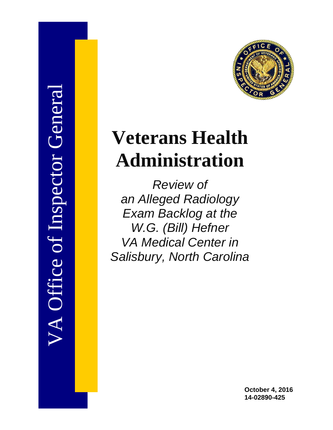



# **Veterans Health Administration**

*Review of an Alleged Radiology Exam Backlog at the W.G. (Bill) Hefner VA Medical Center in Salisbury, North Carolina* 

> **October 4, 2016 14-02890-425**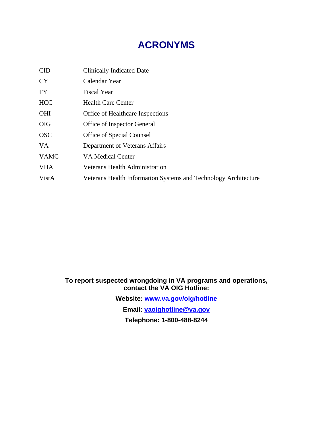## **ACRONYMS**

| <b>CID</b>  | <b>Clinically Indicated Date</b>                                |
|-------------|-----------------------------------------------------------------|
| <b>CY</b>   | Calendar Year                                                   |
| FY          | <b>Fiscal Year</b>                                              |
| <b>HCC</b>  | <b>Health Care Center</b>                                       |
| <b>OHI</b>  | <b>Office of Healthcare Inspections</b>                         |
| <b>OIG</b>  | Office of Inspector General                                     |
| <b>OSC</b>  | Office of Special Counsel                                       |
| VA.         | Department of Veterans Affairs                                  |
| <b>VAMC</b> | VA Medical Center                                               |
| <b>VHA</b>  | <b>Veterans Health Administration</b>                           |
| VistA       | Veterans Health Information Systems and Technology Architecture |

## **To report suspected wrongdoing in VA programs and operations, contact the VA OIG Hotline: Website: www.va.gov/oig/hotline Email: vaoighotline@va.gov**

**Telephone: 1-800-488-8244**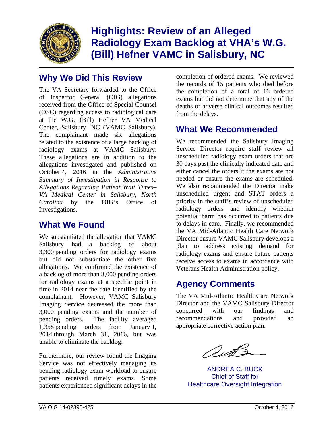

**Highlights: Review of an Alleged Radiology Exam Backlog at VHA's W.G. (Bill) Hefner VAMC in Salisbury, NC** 

## **Why We Did This Review**

Center, Salisbury, NC (VAMC Salisbury). radiology exams at VAMC Salisbury. The VA Secretary forwarded to the Office of Inspector General (OIG) allegations received from the Office of Special Counsel (OSC) regarding access to radiological care at the W.G. (Bill) Hefner VA Medical The complainant made six allegations related to the existence of a large backlog of These allegations are in addition to the allegations investigated and published on October 4, 2016 in the *Administrative Summary of Investigation in Response to Allegations Regarding Patient Wait Times– VA Medical Center in Salisbury, North Carolina* by the OIG's Office of Investigations.

## **What We Found**

We substantiated the allegation that VAMC Salisbury had a backlog of about 3,300 pending orders for radiology exams but did not substantiate the other five allegations. We confirmed the existence of a backlog of more than 3,000 pending orders for radiology exams at a specific point in time in 2014 near the date identified by the complainant. However, VAMC Salisbury Imaging Service decreased the more than 3,000 pending exams and the number of pending orders. The facility averaged 1,358 pending orders from January 1, 2014 through March 31, 2016, but was unable to eliminate the backlog.

Furthermore, our review found the Imaging Service was not effectively managing its pending radiology exam workload to ensure patients received timely exams. Some patients experienced significant delays in the

completion of ordered exams. We reviewed the records of 15 patients who died before the completion of a total of 16 ordered exams but did not determine that any of the deaths or adverse clinical outcomes resulted from the delays.

## **What We Recommended**

needed or ensure the exams are scheduled. We recommended the Salisbury Imaging Service Director require staff review all unscheduled radiology exam orders that are 30 days past the clinically indicated date and either cancel the orders if the exams are not We also recommended the Director make unscheduled urgent and STAT orders a priority in the staff's review of unscheduled radiology orders and identify whether potential harm has occurred to patients due to delays in care. Finally, we recommended the VA Mid-Atlantic Health Care Network Director ensure VAMC Salisbury develops a plan to address existing demand for radiology exams and ensure future patients receive access to exams in accordance with Veterans Health Administration policy.

## **Agency Comments**

The VA Mid-Atlantic Health Care Network Director and the VAMC Salisbury Director concurred with our findings and recommendations and provided an appropriate corrective action plan.

autS

ANDREA C. BUCK Chief of Staff for Healthcare Oversight Integration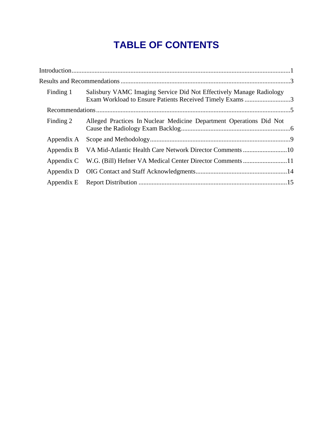## **TABLE OF CONTENTS**

| Salisbury VAMC Imaging Service Did Not Effectively Manage Radiology<br>Finding 1 |                                                                                                                                 |  |
|----------------------------------------------------------------------------------|---------------------------------------------------------------------------------------------------------------------------------|--|
|                                                                                  |                                                                                                                                 |  |
| Alleged Practices In Nuclear Medicine Department Operations Did Not              |                                                                                                                                 |  |
| Appendix A                                                                       |                                                                                                                                 |  |
|                                                                                  |                                                                                                                                 |  |
|                                                                                  |                                                                                                                                 |  |
|                                                                                  |                                                                                                                                 |  |
|                                                                                  |                                                                                                                                 |  |
|                                                                                  | Exam Workload to Ensure Patients Received Timely Exams 3<br>Appendix B VA Mid-Atlantic Health Care Network Director Comments 10 |  |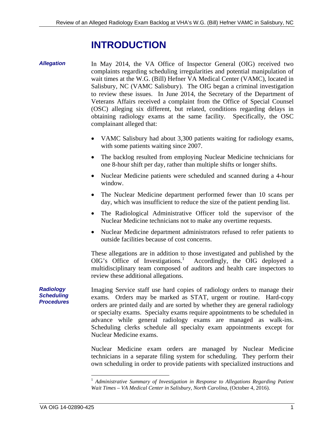## **INTRODUCTION**

<span id="page-4-0"></span>*Allegation* 

In May 2014, the VA Office of Inspector General (OIG) received two complaints regarding scheduling irregularities and potential manipulation of wait times at the W.G. (Bill) Hefner VA Medical Center (VAMC), located in Salisbury, NC (VAMC Salisbury). The OIG began a criminal investigation to review these issues. In June 2014, the Secretary of the Department of Veterans Affairs received a complaint from the Office of Special Counsel (OSC) alleging six different, but related, conditions regarding delays in obtaining radiology exams at the same facility. Specifically, the OSC complainant alleged that:

- VAMC Salisbury had about 3,300 patients waiting for radiology exams, with some patients waiting since 2007.
- The backlog resulted from employing Nuclear Medicine technicians for one 8-hour shift per day, rather than multiple shifts or longer shifts.
- Nuclear Medicine patients were scheduled and scanned during a 4-hour window.
- The Nuclear Medicine department performed fewer than 10 scans per day, which was insufficient to reduce the size of the patient pending list.
- The Radiological Administrative Officer told the supervisor of the Nuclear Medicine technicians not to make any overtime requests.
- Nuclear Medicine department administrators refused to refer patients to outside facilities because of cost concerns.

These allegations are in addition to those investigated and published by the OIG's Office of Investigations.<sup>1</sup> Accordingly, the OIG deployed a multidisciplinary team composed of auditors and health care inspectors to review these additional allegations.

Imaging Service staff use hard copies of radiology orders to manage their exams. Orders may be marked as STAT, urgent or routine. Hard-copy orders are printed daily and are sorted by whether they are general radiology or specialty exams. Specialty exams require appointments to be scheduled in advance while general radiology exams are managed as walk-ins. Scheduling clerks schedule all specialty exam appointments except for Nuclear Medicine exams.

Nuclear Medicine exam orders are managed by Nuclear Medicine technicians in a separate filing system for scheduling. They perform their own scheduling in order to provide patients with specialized instructions and

*Radiology Scheduling Procedures* 

 $\overline{a}$ 

 *Wait Times – VA Medical Center in Salisbury, North Carolina*, (October 4, 2016). <sup>1</sup> Administrative Summary of Investigation in Response to Allegations Regarding Patient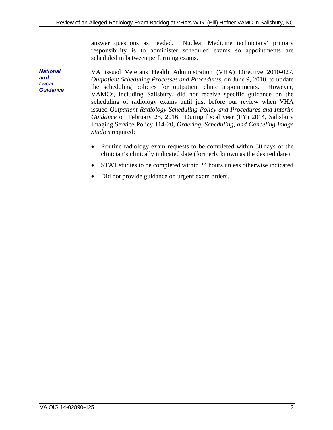answer questions as needed. Nuclear Medicine technicians' primary responsibility is to administer scheduled exams so appointments are scheduled in between performing exams.

*National and Local Guidance*  VA issued Veterans Health Administration (VHA) Directive 2010-027, *Outpatient Scheduling Processes and Procedures*, on June 9, 2010, to update the scheduling policies for outpatient clinic appointments. However, VAMCs, including Salisbury, did not receive specific guidance on the scheduling of radiology exams until just before our review when VHA issued *Outpatient Radiology Scheduling Policy and Procedures and Interim Guidance* on February 25, 2016. During fiscal year (FY) 2014, Salisbury Imaging Service Policy 114-20, *Ordering, Scheduling, and Canceling Image Studies* required:

- Routine radiology exam requests to be completed within 30 days of the clinician's clinically indicated date (formerly known as the desired date)
- STAT studies to be completed within 24 hours unless otherwise indicated
- Did not provide guidance on urgent exam orders.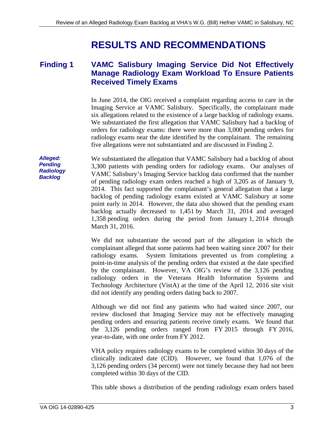## **RESULTS AND RECOMMENDATIONS**

#### <span id="page-6-0"></span>**Finding 1 VAMC Salisbury Imaging Service Did Not Effectively Manage Radiology Exam Workload To Ensure Patients Received Timely Exams**

six allegations related to the existence of a large backlog of radiology exams. In June 2014, the OIG received a complaint regarding access to care in the Imaging Service at VAMC Salisbury. Specifically, the complainant made We substantiated the first allegation that VAMC Salisbury had a backlog of orders for radiology exams: there were more than 3,000 pending orders for radiology exams near the date identified by the complainant. The remaining five allegations were not substantiated and are discussed in Finding 2.

We substantiated the allegation that VAMC Salisbury had a backlog of about 3,300 patients with pending orders for radiology exams. Our analyses of VAMC Salisbury's Imaging Service backlog data confirmed that the number of pending radiology exam orders reached a high of 3,205 as of January 9, 2014. This fact supported the complainant's general allegation that a large backlog of pending radiology exams existed at VAMC Salisbury at some point early in 2014. However, the data also showed that the pending exam backlog actually decreased to 1,451 by March 31, 2014 and averaged 1,358 pending orders during the period from January 1, 2014 through March 31, 2016.

We did not substantiate the second part of the allegation in which the complainant alleged that some patients had been waiting since 2007 for their radiology exams. System limitations prevented us from completing a point-in-time analysis of the pending orders that existed at the date specified by the complainant. However, VA OIG's review of the 3,126 pending radiology orders in the Veterans Health Information Systems and Technology Architecture (VistA) at the time of the April 12, 2016 site visit did not identify any pending orders dating back to 2007.

Although we did not find any patients who had waited since 2007, our review disclosed that Imaging Service may not be effectively managing pending orders and ensuring patients receive timely exams. We found that the 3,126 pending orders ranged from FY 2015 through FY 2016, year-to-date, with one order from FY 2012.

VHA policy requires radiology exams to be completed within 30 days of the clinically indicated date (CID). However, we found that 1,076 of the 3,126 pending orders (34 percent) were not timely because they had not been completed within 30 days of the CID.

This table shows a distribution of the pending radiology exam orders based

*Alleged: Pending Radiology Backlog*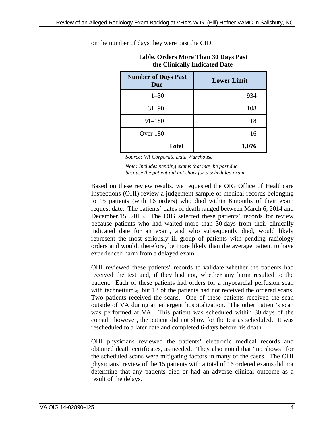| the Chinean, mulcated Date               |                    |  |  |  |
|------------------------------------------|--------------------|--|--|--|
| <b>Number of Days Past</b><br><b>Due</b> | <b>Lower Limit</b> |  |  |  |
| $1 - 30$                                 | 934                |  |  |  |
| $31 - 90$                                | 108                |  |  |  |
| $91 - 180$                               | 18                 |  |  |  |
| Over 180                                 | 16                 |  |  |  |
| <b>Total</b>                             | 1,076              |  |  |  |

**Table. Orders More Than 30 Days Past the Clinically Indicated Date** 

on the number of days they were past the CID.

 *Source: VA Corporate Data Warehouse* 

*Note: Includes pending exams that may be past due because the patient did not show for a scheduled exam.* 

Based on these review results, we requested the OIG Office of Healthcare Inspections (OHI) review a judgement sample of medical records belonging to 15 patients (with 16 orders) who died within 6 months of their exam request date. The patients' dates of death ranged between March 6, 2014 and December 15, 2015. The OIG selected these patients' records for review because patients who had waited more than 30 days from their clinically indicated date for an exam, and who subsequently died, would likely represent the most seriously ill group of patients with pending radiology orders and would, therefore, be more likely than the average patient to have experienced harm from a delayed exam.

OHI reviewed these patients' records to validate whether the patients had received the test and, if they had not, whether any harm resulted to the patient. Each of these patients had orders for a myocardial perfusion scan with technetium<sub>99</sub>, but 13 of the patients had not received the ordered scans. Two patients received the scans. One of these patients received the scan outside of VA during an emergent hospitalization. The other patient's scan was performed at VA. This patient was scheduled within 30 days of the consult; however, the patient did not show for the test as scheduled. It was rescheduled to a later date and completed 6-days before his death.

OHI physicians reviewed the patients' electronic medical records and obtained death certificates, as needed. They also noted that "no shows" for the scheduled scans were mitigating factors in many of the cases. The OHI physicians' review of the 15 patients with a total of 16 ordered exams did not determine that any patients died or had an adverse clinical outcome as a result of the delays.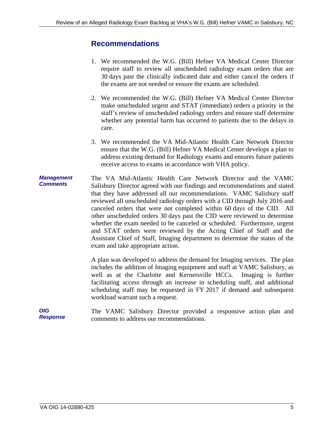### <span id="page-8-0"></span>**Recommendations**

- 1. We recommended the W.G. (Bill) Hefner VA Medical Center Director require staff to review all unscheduled radiology exam orders that are 30 days past the clinically indicated date and either cancel the orders if the exams are not needed or ensure the exams are scheduled.
- 2. We recommended the W.G. (Bill) Hefner VA Medical Center Director make unscheduled urgent and STAT (immediate) orders a priority in the staff's review of unscheduled radiology orders and ensure staff determine whether any potential harm has occurred to patients due to the delays in care.
- 3. We recommended the VA Mid-Atlantic Health Care Network Director ensure that the W.G. (Bill) Hefner VA Medical Center develops a plan to address existing demand for Radiology exams and ensures future patients receive access to exams in accordance with VHA policy.
- *Management Comments*  The VA Mid-Atlantic Health Care Network Director and the VAMC Salisbury Director agreed with our findings and recommendations and stated that they have addressed all our recommendations. VAMC Salisbury staff reviewed all unscheduled radiology orders with a CID through July 2016 and canceled orders that were not completed within 60 days of the CID. All other unscheduled orders 30 days past the CID were reviewed to determine whether the exam needed to be canceled or scheduled. Furthermore, urgent and STAT orders were reviewed by the Acting Chief of Staff and the Assistant Chief of Staff, Imaging department to determine the status of the exam and take appropriate action.

A plan was developed to address the demand for Imaging services. The plan includes the addition of Imaging equipment and staff at VAMC Salisbury, as well as at the Charlotte and Kernersville HCCs. Imaging is further facilitating access through an increase in scheduling staff, and additional scheduling staff may be requested in FY 2017 if demand and subsequent workload warrant such a request.

*OIG Response*  The VAMC Salisbury Director provided a responsive action plan and comments to address our recommendations.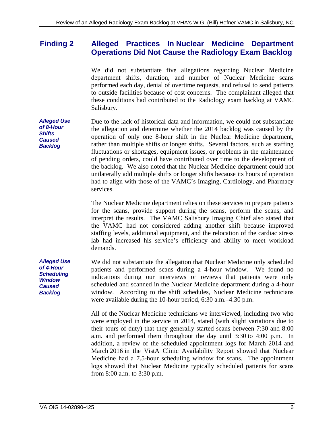#### <span id="page-9-0"></span>**Finding 2 Alleged Practices In Nuclear Medicine Department Operations Did Not Cause the Radiology Exam Backlog**

We did not substantiate five allegations regarding Nuclear Medicine department shifts, duration, and number of Nuclear Medicine scans performed each day, denial of overtime requests, and refusal to send patients to outside facilities because of cost concerns. The complainant alleged that these conditions had contributed to the Radiology exam backlog at VAMC Salisbury.

*Alleged Use of 8-Hour Shifts Caused Backlog*  Due to the lack of historical data and information, we could not substantiate the allegation and determine whether the 2014 backlog was caused by the operation of only one 8-hour shift in the Nuclear Medicine department, rather than multiple shifts or longer shifts. Several factors, such as staffing fluctuations or shortages, equipment issues, or problems in the maintenance of pending orders, could have contributed over time to the development of the backlog. We also noted that the Nuclear Medicine department could not unilaterally add multiple shifts or longer shifts because its hours of operation had to align with those of the VAMC's Imaging, Cardiology, and Pharmacy services.

> The Nuclear Medicine department relies on these services to prepare patients for the scans, provide support during the scans, perform the scans, and interpret the results. The VAMC Salisbury Imaging Chief also stated that the VAMC had not considered adding another shift because improved staffing levels, additional equipment, and the relocation of the cardiac stress lab had increased his service's efficiency and ability to meet workload demands.

*Alleged Use of 4-Hour Scheduling Window Caused Backlog*  We did not substantiate the allegation that Nuclear Medicine only scheduled patients and performed scans during a 4-hour window. We found no indications during our interviews or reviews that patients were only scheduled and scanned in the Nuclear Medicine department during a 4-hour window. According to the shift schedules, Nuclear Medicine technicians were available during the 10-hour period, 6:30 a.m.–4:30 p.m.

> All of the Nuclear Medicine technicians we interviewed, including two who were employed in the service in 2014, stated (with slight variations due to their tours of duty) that they generally started scans between 7:30 and 8:00 a.m. and performed them throughout the day until 3:30 to 4:00 p.m. In addition, a review of the scheduled appointment logs for March 2014 and March 2016 in the VistA Clinic Availability Report showed that Nuclear Medicine had a 7.5-hour scheduling window for scans. The appointment logs showed that Nuclear Medicine typically scheduled patients for scans from 8:00 a.m. to 3:30 p.m.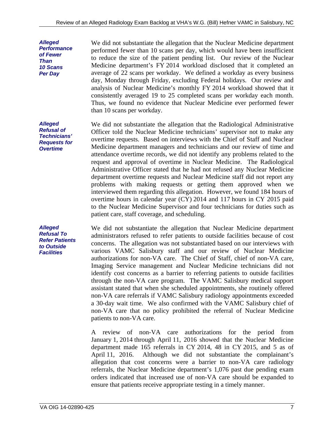We did not substantiate the allegation that the Nuclear Medicine department performed fewer than 10 scans per day, which would have been insufficient to reduce the size of the patient pending list. Our review of the Nuclear Medicine department's FY 2014 workload disclosed that it completed an average of 22 scans per workday. We defined a workday as every business day, Monday through Friday, excluding Federal holidays. Our review and analysis of Nuclear Medicine's monthly FY 2014 workload showed that it consistently averaged 19 to 25 completed scans per workday each month. Thus, we found no evidence that Nuclear Medicine ever performed fewer than 10 scans per workday.

We did not substantiate the allegation that the Radiological Administrative Officer told the Nuclear Medicine technicians' supervisor not to make any overtime requests. Based on interviews with the Chief of Staff and Nuclear Medicine department managers and technicians and our review of time and attendance overtime records, we did not identify any problems related to the request and approval of overtime in Nuclear Medicine. The Radiological Administrative Officer stated that he had not refused any Nuclear Medicine department overtime requests and Nuclear Medicine staff did not report any problems with making requests or getting them approved when we interviewed them regarding this allegation. However, we found 184 hours of overtime hours in calendar year (CY) 2014 and 117 hours in CY 2015 paid to the Nuclear Medicine Supervisor and four technicians for duties such as patient care, staff coverage, and scheduling.

We did not substantiate the allegation that Nuclear Medicine department administrators refused to refer patients to outside facilities because of cost concerns. The allegation was not substantiated based on our interviews with various VAMC Salisbury staff and our review of Nuclear Medicine authorizations for non-VA care. The Chief of Staff, chief of non-VA care, Imaging Service management and Nuclear Medicine technicians did not identify cost concerns as a barrier to referring patients to outside facilities through the non-VA care program. The VAMC Salisbury medical support assistant stated that when she scheduled appointments, she routinely offered non-VA care referrals if VAMC Salisbury radiology appointments exceeded a 30-day wait time. We also confirmed with the VAMC Salisbury chief of non-VA care that no policy prohibited the referral of Nuclear Medicine patients to non-VA care.

A review of non-VA care authorizations for the period from January 1, 2014 through April 11, 2016 showed that the Nuclear Medicine department made 165 referrals in CY 2014, 48 in CY 2015, and 5 as of April 11, 2016. Although we did not substantiate the complainant's allegation that cost concerns were a barrier to non-VA care radiology referrals, the Nuclear Medicine department's 1,076 past due pending exam orders indicated that increased use of non-VA care should be expanded to ensure that patients receive appropriate testing in a timely manner.

*Alleged Refusal of Technicians' Requests for Overtime* 

*Alleged Performance of Fewer Than 10 Scans Per Day* 

*Alleged Refusal To Refer Patients to Outside Facilities*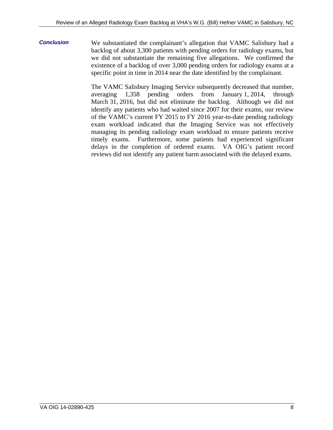**Conclusion** We substantiated the complainant's allegation that VAMC Salisbury had a backlog of about 3,300 patients with pending orders for radiology exams, but we did not substantiate the remaining five allegations. We confirmed the existence of a backlog of over 3,000 pending orders for radiology exams at a specific point in time in 2014 near the date identified by the complainant.

> The VAMC Salisbury Imaging Service subsequently decreased that number, averaging 1,358 pending orders from January 1, 2014, through March 31, 2016, but did not eliminate the backlog. Although we did not identify any patients who had waited since 2007 for their exams, our review of the VAMC's current FY 2015 to FY 2016 year-to-date pending radiology exam workload indicated that the Imaging Service was not effectively managing its pending radiology exam workload to ensure patients receive timely exams. Furthermore, some patients had experienced significant delays in the completion of ordered exams. VA OIG's patient record reviews did not identify any patient harm associated with the delayed exams.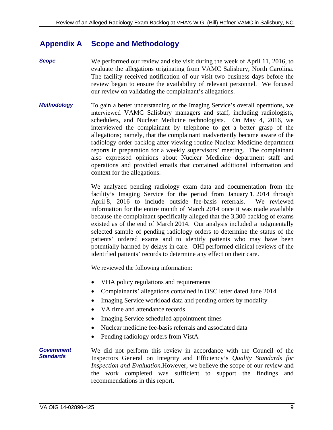#### <span id="page-12-0"></span>**Appendix A Scope and Methodology**

- *Scope*  We performed our review and site visit during the week of April 11, 2016, to evaluate the allegations originating from VAMC Salisbury, North Carolina. The facility received notification of our visit two business days before the review began to ensure the availability of relevant personnel. We focused our review on validating the complainant's allegations.
- *Methodology*  To gain a better understanding of the Imaging Service's overall operations, we interviewed VAMC Salisbury managers and staff, including radiologists, schedulers, and Nuclear Medicine technologists. On May 4, 2016, we interviewed the complainant by telephone to get a better grasp of the allegations; namely, that the complainant inadvertently became aware of the radiology order backlog after viewing routine Nuclear Medicine department reports in preparation for a weekly supervisors' meeting. The complainant also expressed opinions about Nuclear Medicine department staff and operations and provided emails that contained additional information and context for the allegations.

We analyzed pending radiology exam data and documentation from the facility's Imaging Service for the period from January 1, 2014 through April 8, 2016 to include outside fee-basis referrals. We reviewed information for the entire month of March 2014 once it was made available because the complainant specifically alleged that the 3,300 backlog of exams existed as of the end of March 2014. Our analysis included a judgmentally selected sample of pending radiology orders to determine the status of the patients' ordered exams and to identify patients who may have been potentially harmed by delays in care. OHI performed clinical reviews of the identified patients' records to determine any effect on their care.

We reviewed the following information:

- VHA policy regulations and requirements
- Complainants' allegations contained in OSC letter dated June 2014
- Imaging Service workload data and pending orders by modality
- VA time and attendance records
- Imaging Service scheduled appointment times
- Nuclear medicine fee-basis referrals and associated data
- Pending radiology orders from VistA

#### *Government Standards*  We did not perform this review in accordance with the Council of the Inspectors General on Integrity and Efficiency's *Quality Standards for Inspection and Evaluation*.However, we believe the scope of our review and the work completed was sufficient to support the findings and recommendations in this report.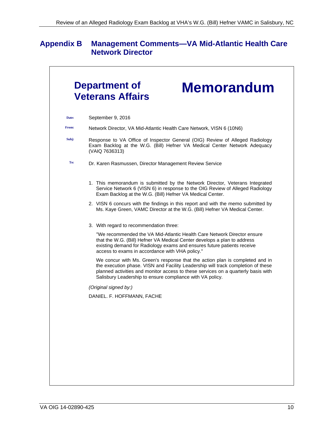## <span id="page-13-0"></span>**Appendix B Management Comments—VA Mid-Atlantic Health Care Network Director**

| <b>Department of</b><br><b>Memorandum</b><br><b>Veterans Affairs</b> |                                                                                                                                                                                                                                                                                                                    |  |
|----------------------------------------------------------------------|--------------------------------------------------------------------------------------------------------------------------------------------------------------------------------------------------------------------------------------------------------------------------------------------------------------------|--|
| Date:                                                                | September 9, 2016                                                                                                                                                                                                                                                                                                  |  |
| From:                                                                | Network Director, VA Mid-Atlantic Health Care Network, VISN 6 (10N6)                                                                                                                                                                                                                                               |  |
| Subj:                                                                | Response to VA Office of Inspector General (OIG) Review of Alleged Radiology<br>Exam Backlog at the W.G. (Bill) Hefner VA Medical Center Network Adequacy<br>(VAIQ 7636313)                                                                                                                                        |  |
| To:                                                                  | Dr. Karen Rasmussen, Director Management Review Service                                                                                                                                                                                                                                                            |  |
|                                                                      | 1. This memorandum is submitted by the Network Director, Veterans Integrated<br>Service Network 6 (VISN 6) in response to the OIG Review of Alleged Radiology<br>Exam Backlog at the W.G. (Bill) Hefner VA Medical Center.                                                                                         |  |
|                                                                      | 2. VISN 6 concurs with the findings in this report and with the memo submitted by<br>Ms. Kaye Green, VAMC Director at the W.G. (Bill) Hefner VA Medical Center.                                                                                                                                                    |  |
|                                                                      | 3. With regard to recommendation three:                                                                                                                                                                                                                                                                            |  |
|                                                                      | "We recommended the VA Mid-Atlantic Health Care Network Director ensure<br>that the W.G. (Bill) Hefner VA Medical Center develops a plan to address<br>existing demand for Radiology exams and ensures future patients receive<br>access to exams in accordance with VHA policy."                                  |  |
|                                                                      | We concur with Ms. Green's response that the action plan is completed and in<br>the execution phase. VISN and Facility Leadership will track completion of these<br>planned activities and monitor access to these services on a quarterly basis with<br>Salisbury Leadership to ensure compliance with VA policy. |  |
|                                                                      | (Original signed by:)                                                                                                                                                                                                                                                                                              |  |
|                                                                      | DANIEL. F. HOFFMANN, FACHE                                                                                                                                                                                                                                                                                         |  |
|                                                                      |                                                                                                                                                                                                                                                                                                                    |  |
|                                                                      |                                                                                                                                                                                                                                                                                                                    |  |
|                                                                      |                                                                                                                                                                                                                                                                                                                    |  |
|                                                                      |                                                                                                                                                                                                                                                                                                                    |  |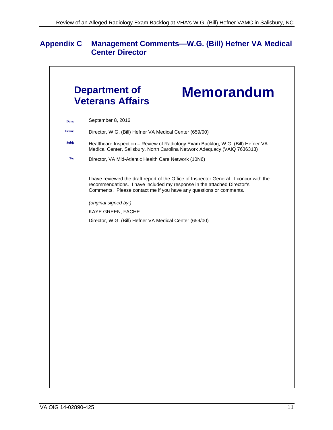## <span id="page-14-0"></span>**Appendix C Management Comments—W.G. (Bill) Hefner VA Medical Center Director**

| Date: | September 8, 2016                                                                                                                                                                                                                       |  |
|-------|-----------------------------------------------------------------------------------------------------------------------------------------------------------------------------------------------------------------------------------------|--|
| From: | Director, W.G. (Bill) Hefner VA Medical Center (659/00)                                                                                                                                                                                 |  |
| Subj: | Healthcare Inspection - Review of Radiology Exam Backlog, W.G. (Bill) Hefner VA<br>Medical Center, Salisbury, North Carolina Network Adequacy (VAIQ 7636313)                                                                            |  |
| To:   | Director, VA Mid-Atlantic Health Care Network (10N6)                                                                                                                                                                                    |  |
|       | I have reviewed the draft report of the Office of Inspector General. I concur with the<br>recommendations. I have included my response in the attached Director's<br>Comments. Please contact me if you have any questions or comments. |  |
|       | (original signed by:)                                                                                                                                                                                                                   |  |
|       | KAYE GREEN, FACHE                                                                                                                                                                                                                       |  |
|       | Director, W.G. (Bill) Hefner VA Medical Center (659/00)                                                                                                                                                                                 |  |
|       |                                                                                                                                                                                                                                         |  |
|       |                                                                                                                                                                                                                                         |  |
|       |                                                                                                                                                                                                                                         |  |
|       |                                                                                                                                                                                                                                         |  |
|       |                                                                                                                                                                                                                                         |  |
|       |                                                                                                                                                                                                                                         |  |
|       |                                                                                                                                                                                                                                         |  |
|       |                                                                                                                                                                                                                                         |  |
|       |                                                                                                                                                                                                                                         |  |
|       |                                                                                                                                                                                                                                         |  |
|       |                                                                                                                                                                                                                                         |  |
|       |                                                                                                                                                                                                                                         |  |
|       |                                                                                                                                                                                                                                         |  |
|       |                                                                                                                                                                                                                                         |  |
|       |                                                                                                                                                                                                                                         |  |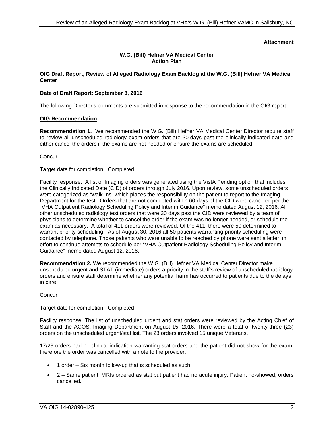### **Attachment**

#### **W.G. (Bill) Hefner VA Medical Center Action Plan**

#### **OIG Draft Report, Review of Alleged Radiology Exam Backlog at the W.G. (Bill) Hefner VA Medical Center**

#### **Date of Draft Report: September 8, 2016**

The following Director's comments are submitted in response to the recommendation in the OIG report:

#### **OIG Recommendation**

 **Recommendation 1.** We recommended the W.G. (Bill) Hefner VA Medical Center Director require staff to review all unscheduled radiology exam orders that are 30 days past the clinically indicated date and either cancel the orders if the exams are not needed or ensure the exams are scheduled.

**Concur** 

#### Target date for completion: Completed

Facility response: A list of Imaging orders was generated using the VistA Pending option that includes the Clinically Indicated Date (CID) of orders through July 2016. Upon review, some unscheduled orders were categorized as "walk-ins" which places the responsibility on the patient to report to the Imaging Department for the test. Orders that are not completed within 60 days of the CID were canceled per the "VHA Outpatient Radiology Scheduling Policy and Interim Guidance" memo dated August 12, 2016. All other unscheduled radiology test orders that were 30 days past the CID were reviewed by a team of physicians to determine whether to cancel the order if the exam was no longer needed, or schedule the exam as necessary. A total of 411 orders were reviewed. Of the 411, there were 50 determined to warrant priority scheduling. As of August 30, 2016 all 50 patients warranting priority scheduling were contacted by telephone. Those patients who were unable to be reached by phone were sent a letter, in effort to continue attempts to schedule per "VHA Outpatient Radiology Scheduling Policy and Interim Guidance" memo dated August 12, 2016.

**Recommendation 2.** We recommended the W.G. (Bill) Hefner VA Medical Center Director make unscheduled urgent and STAT (immediate) orders a priority in the staff's review of unscheduled radiology orders and ensure staff determine whether any potential harm has occurred to patients due to the delays in care.

**Concur** 

#### Target date for completion: Completed

Facility response: The list of unscheduled urgent and stat orders were reviewed by the Acting Chief of Staff and the ACOS, Imaging Department on August 15, 2016. There were a total of twenty-three (23) orders on the unscheduled urgent/stat list. The 23 orders involved 15 unique Veterans.

17/23 orders had no clinical indication warranting stat orders and the patient did not show for the exam, therefore the order was cancelled with a note to the provider.

- 1 order Six month follow-up that is scheduled as such
- 2 Same patient, MRIs ordered as stat but patient had no acute injury. Patient no-showed, orders cancelled.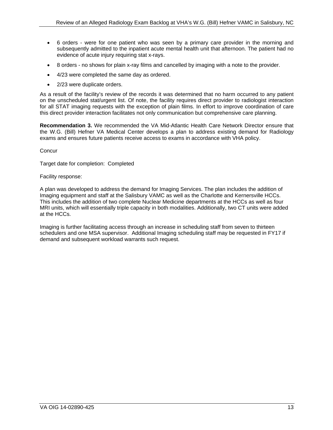- 6 orders were for one patient who was seen by a primary care provider in the morning and subsequently admitted to the inpatient acute mental health unit that afternoon. The patient had no evidence of acute injury requiring stat x-rays.
- 8 orders no shows for plain x-ray films and cancelled by imaging with a note to the provider.
- 4/23 were completed the same day as ordered.
- 2/23 were duplicate orders.

As a result of the facility's review of the records it was determined that no harm occurred to any patient on the unscheduled stat/urgent list. Of note, the facility requires direct provider to radiologist interaction for all STAT imaging requests with the exception of plain films. In effort to improve coordination of care this direct provider interaction facilitates not only communication but comprehensive care planning.

**Recommendation 3.** We recommended the VA Mid-Atlantic Health Care Network Director ensure that the W.G. (Bill) Hefner VA Medical Center develops a plan to address existing demand for Radiology exams and ensures future patients receive access to exams in accordance with VHA policy.

**Concur** 

Target date for completion: Completed

### Facility response:

A plan was developed to address the demand for Imaging Services. The plan includes the addition of Imaging equipment and staff at the Salisbury VAMC as well as the Charlotte and Kernersville HCCs. This includes the addition of two complete Nuclear Medicine departments at the HCCs as well as four MRI units, which will essentially triple capacity in both modalities. Additionally, two CT units were added at the HCCs.

Imaging is further facilitating access through an increase in scheduling staff from seven to thirteen schedulers and one MSA supervisor. Additional Imaging scheduling staff may be requested in FY17 if demand and subsequent workload warrants such request.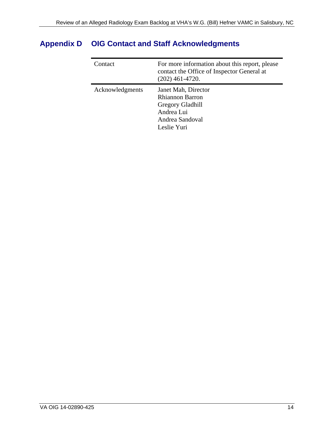| Contact         | For more information about this report, please<br>contact the Office of Inspector General at<br>$(202)$ 461-4720. |
|-----------------|-------------------------------------------------------------------------------------------------------------------|
| Acknowledgments | Janet Mah, Director<br><b>Rhiannon Barron</b><br>Gregory Gladhill<br>Andrea Lui<br>Andrea Sandoval<br>Leslie Yuri |

## <span id="page-17-0"></span>**Appendix D OIG Contact and Staff Acknowledgments**